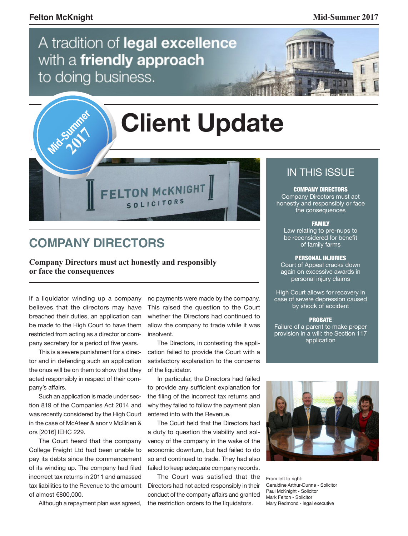**Mid-Summer 2017** 

## A tradition of legal excellence with a friendly approach to doing business.

# **Client Update**

## **COMPANY DIRECTORS**

**Company Directors must act honestly and responsibly or face the consequences**

FELTON MCKNIGHT SOLICITORS

If a liquidator winding up a company believes that the directors may have breached their duties, an application can be made to the High Court to have them restricted from acting as a director or company secretary for a period of five years.

This is a severe punishment for a director and in defending such an application the onus will be on them to show that they acted responsibly in respect of their company's affairs.

Such an application is made under section 819 of the Companies Act 2014 and was recently considered by the High Court in the case of McAteer & anor v McBrien & ors [2016] IEHC 229.

The Court heard that the company College Freight Ltd had been unable to pay its debts since the commencement of its winding up. The company had filed incorrect tax returns in 2011 and amassed tax liabilities to the Revenue to the amount of almost €800,000.

Although a repayment plan was agreed,

no payments were made by the company. This raised the question to the Court whether the Directors had continued to allow the company to trade while it was insolvent.

The Directors, in contesting the application failed to provide the Court with a satisfactory explanation to the concerns of the liquidator.

In particular, the Directors had failed to provide any sufficient explanation for the filing of the incorrect tax returns and why they failed to follow the payment plan entered into with the Revenue.

The Court held that the Directors had a duty to question the viability and solvency of the company in the wake of the economic downturn, but had failed to do so and continued to trade. They had also failed to keep adequate company records.

The Court was satisfied that the Directors had not acted responsibly in their conduct of the company affairs and granted the restriction orders to the liquidators.

## IN THIS ISSUE

#### COMPANY DIRECTORS

Company Directors must act honestly and responsibly or face the consequences

#### FAMILY

Law relating to pre-nups to be reconsidered for benefit of family farms

#### PERSONAL INJURIES

Court of Appeal cracks down again on excessive awards in personal injury claims

High Court allows for recovery in case of severe depression caused by shock of accident

#### PROBATE

Failure of a parent to make proper provision in a will: the Section 117 application



From left to right: Geraldine Arthur-Dunne - Solicitor Paul McKnight - Solicitor Mark Felton - Solicitor Mary Redmond - legal executive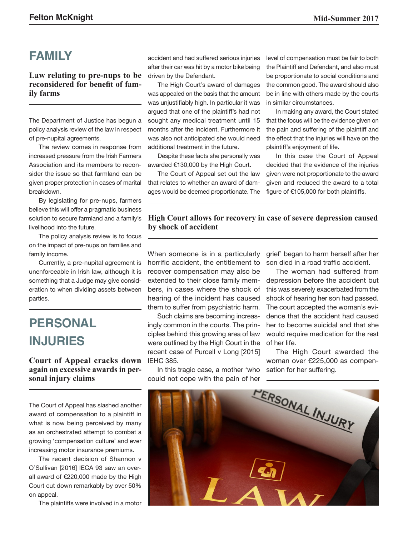## **FAMILY**

## **Law relating to pre-nups to be reconsidered for benefit of family farms**

The Department of Justice has begun a policy analysis review of the law in respect of pre-nupital agreements.

The review comes in response from increased pressure from the Irish Farmers Association and its members to reconsider the issue so that farmland can be given proper protection in cases of marital breakdown.

By legislating for pre-nups, farmers believe this will offer a pragmatic business solution to secure farmland and a family's livelihood into the future.

The policy analysis review is to focus on the impact of pre-nups on families and family income.

Currently, a pre-nupital agreement is unenforceable in Irish law, although it is something that a Judge may give consideration to when dividing assets between parties.

## **PERSONAL INJURIES**

## **Court of Appeal cracks down again on excessive awards in personal injury claims**

The Court of Appeal has slashed another award of compensation to a plaintiff in what is now being perceived by many as an orchestrated attempt to combat a growing 'compensation culture' and ever increasing motor insurance premiums.

The recent decision of Shannon v O'Sullivan [2016] IECA 93 saw an overall award of €220,000 made by the High Court cut down remarkably by over 50% on appeal.

The plaintiffs were involved in a motor

accident and had suffered serious injuries after their car was hit by a motor bike being driven by the Defendant.

The High Court's award of damages was appealed on the basis that the amount was unjustifiably high. In particular it was argued that one of the plaintiff's had not sought any medical treatment until 15 months after the incident. Furthermore it was also not anticipated she would need additional treatment in the future.

Despite these facts she personally was awarded €130,000 by the High Court.

The Court of Appeal set out the law that relates to whether an award of damages would be deemed proportionate. The level of compensation must be fair to both the Plaintiff and Defendant, and also must be proportionate to social conditions and the common good. The award should also be in line with others made by the courts in similar circumstances.

In making any award, the Court stated that the focus will be the evidence given on the pain and suffering of the plaintiff and the effect that the injuries will have on the plaintiff's enjoyment of life.

In this case the Court of Appeal decided that the evidence of the injuries given were not proportionate to the award given and reduced the award to a total figure of €105,000 for both plaintiffs.

## **High Court allows for recovery in case of severe depression caused by shock of accident**

When someone is in a particularly horrific accident, the entitlement to recover compensation may also be extended to their close family members, in cases where the shock of hearing of the incident has caused them to suffer from psychiatric harm.

Such claims are becoming increasingly common in the courts. The principles behind this growing area of law were outlined by the High Court in the recent case of Purcell v Long [2015] IEHC 385.

In this tragic case, a mother 'who

grief' began to harm herself after her son died in a road traffic accident.

The woman had suffered from depression before the accident but this was severely exacerbated from the shock of hearing her son had passed. The court accepted the woman's evidence that the accident had caused her to become suicidal and that she would require medication for the rest of her life.

The High Court awarded the woman over €225,000 as compensation for her suffering.